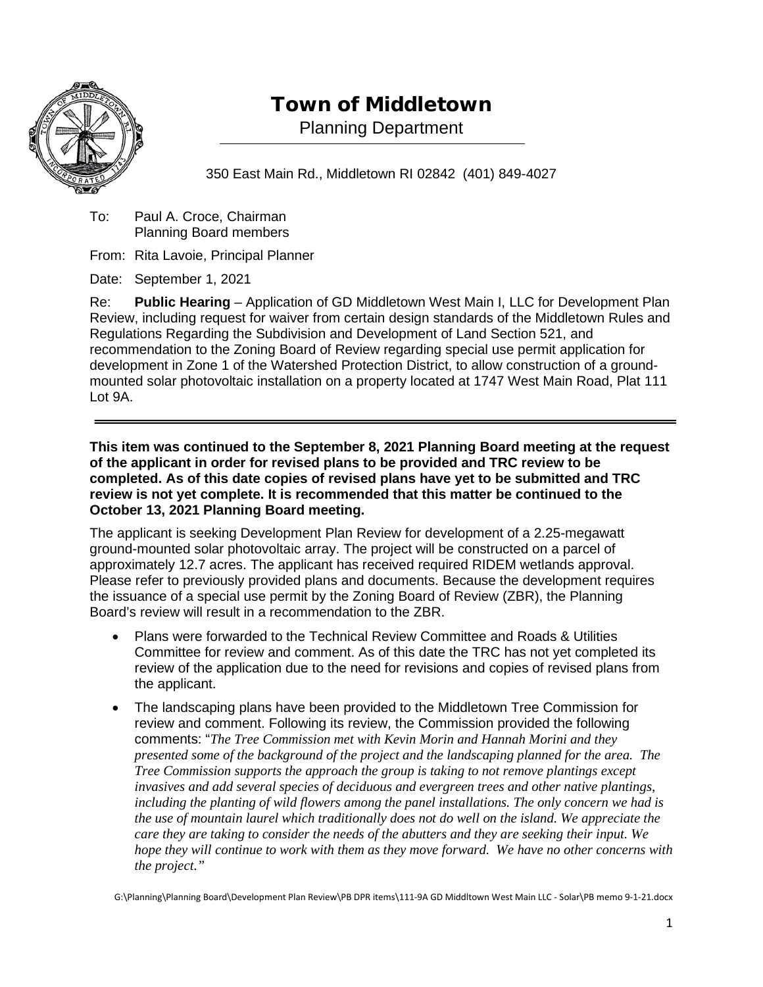

## Town of Middletown

Planning Department

350 East Main Rd., Middletown RI 02842 (401) 849-4027

To: Paul A. Croce, Chairman Planning Board members

From: Rita Lavoie, Principal Planner

Date: September 1, 2021

Re: **Public Hearing** – Application of GD Middletown West Main I, LLC for Development Plan Review, including request for waiver from certain design standards of the Middletown Rules and Regulations Regarding the Subdivision and Development of Land Section 521, and recommendation to the Zoning Board of Review regarding special use permit application for development in Zone 1 of the Watershed Protection District, to allow construction of a groundmounted solar photovoltaic installation on a property located at 1747 West Main Road, Plat 111 Lot 9A.

**This item was continued to the September 8, 2021 Planning Board meeting at the request of the applicant in order for revised plans to be provided and TRC review to be completed. As of this date copies of revised plans have yet to be submitted and TRC review is not yet complete. It is recommended that this matter be continued to the October 13, 2021 Planning Board meeting.**

The applicant is seeking Development Plan Review for development of a 2.25-megawatt ground-mounted solar photovoltaic array. The project will be constructed on a parcel of approximately 12.7 acres. The applicant has received required RIDEM wetlands approval. Please refer to previously provided plans and documents. Because the development requires the issuance of a special use permit by the Zoning Board of Review (ZBR), the Planning Board's review will result in a recommendation to the ZBR.

- Plans were forwarded to the Technical Review Committee and Roads & Utilities Committee for review and comment. As of this date the TRC has not yet completed its review of the application due to the need for revisions and copies of revised plans from the applicant.
- The landscaping plans have been provided to the Middletown Tree Commission for review and comment. Following its review, the Commission provided the following comments: "*The Tree Commission met with Kevin Morin and Hannah Morini and they presented some of the background of the project and the landscaping planned for the area. The Tree Commission supports the approach the group is taking to not remove plantings except invasives and add several species of deciduous and evergreen trees and other native plantings, including the planting of wild flowers among the panel installations. The only concern we had is the use of mountain laurel which traditionally does not do well on the island. We appreciate the care they are taking to consider the needs of the abutters and they are seeking their input. We hope they will continue to work with them as they move forward. We have no other concerns with the project."*

G:\Planning\Planning Board\Development Plan Review\PB DPR items\111-9A GD Middltown West Main LLC - Solar\PB memo 9-1-21.docx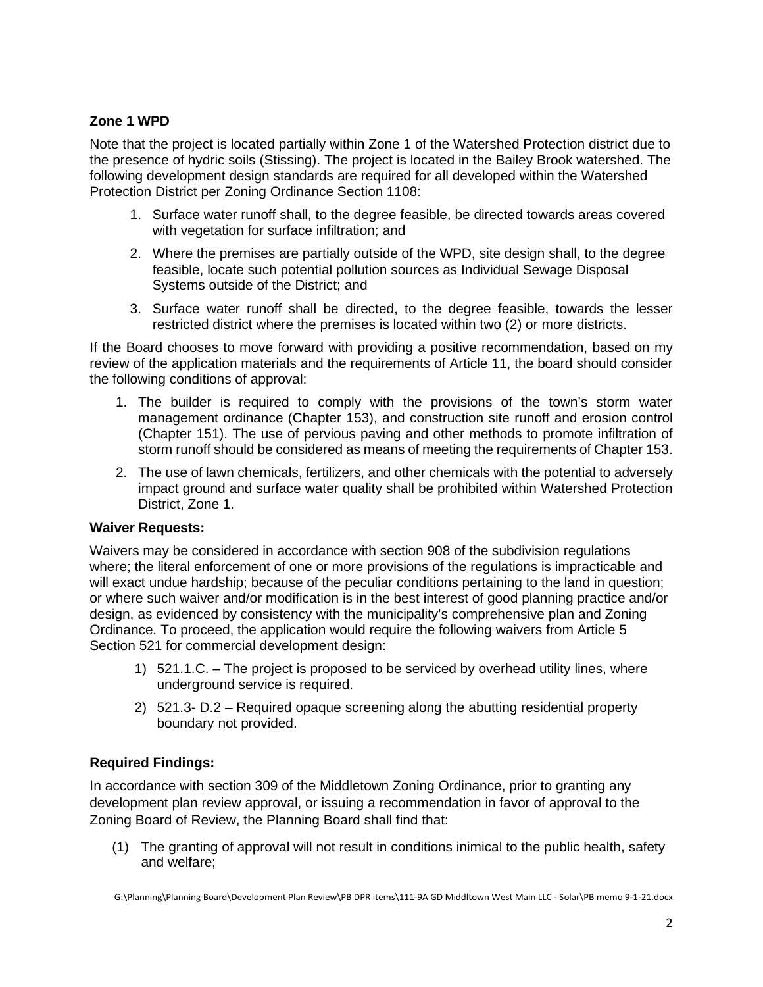## **Zone 1 WPD**

Note that the project is located partially within Zone 1 of the Watershed Protection district due to the presence of hydric soils (Stissing). The project is located in the Bailey Brook watershed. The following development design standards are required for all developed within the Watershed Protection District per Zoning Ordinance Section 1108:

- 1. Surface water runoff shall, to the degree feasible, be directed towards areas covered with vegetation for surface infiltration; and
- 2. Where the premises are partially outside of the WPD, site design shall, to the degree feasible, locate such potential pollution sources as Individual Sewage Disposal Systems outside of the District; and
- 3. Surface water runoff shall be directed, to the degree feasible, towards the lesser restricted district where the premises is located within two (2) or more districts.

If the Board chooses to move forward with providing a positive recommendation, based on my review of the application materials and the requirements of Article 11, the board should consider the following conditions of approval:

- 1. The builder is required to comply with the provisions of the town's storm water management ordinance (Chapter 153), and construction site runoff and erosion control (Chapter 151). The use of pervious paving and other methods to promote infiltration of storm runoff should be considered as means of meeting the requirements of Chapter 153.
- 2. The use of lawn chemicals, fertilizers, and other chemicals with the potential to adversely impact ground and surface water quality shall be prohibited within Watershed Protection District, Zone 1.

## **Waiver Requests:**

Waivers may be considered in accordance with section 908 of the subdivision regulations where; the literal enforcement of one or more provisions of the regulations is impracticable and will exact undue hardship; because of the peculiar conditions pertaining to the land in question; or where such waiver and/or modification is in the best interest of good planning practice and/or design, as evidenced by consistency with the municipality's comprehensive plan and Zoning Ordinance. To proceed, the application would require the following waivers from Article 5 Section 521 for commercial development design:

- 1) 521.1.C. The project is proposed to be serviced by overhead utility lines, where underground service is required.
- 2) 521.3- D.2 Required opaque screening along the abutting residential property boundary not provided.

## **Required Findings:**

In accordance with section 309 of the Middletown Zoning Ordinance, prior to granting any development plan review approval, or issuing a recommendation in favor of approval to the Zoning Board of Review, the Planning Board shall find that:

(1) The granting of approval will not result in conditions inimical to the public health, safety and welfare;